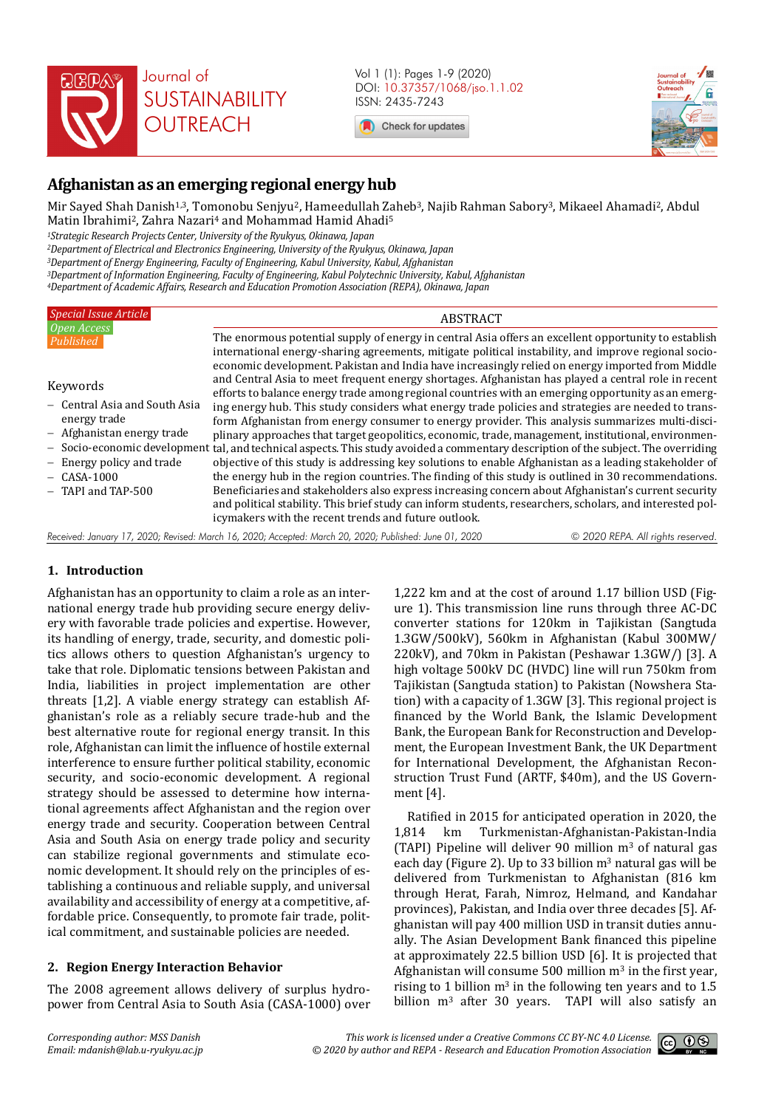

Vol 1 (1): Pages 1-9 (2020) DOI: 10.37357/1068/jso.1.1.02 ISSN: 2435-7243

Check for updates



# **Afghanistan as an emerging regional energy hub**

Mir Sayed Shah Danish<sup>1,3</sup>, Tomonobu Senjyu<sup>2</sup>, Hameedullah Zaheb<sup>3</sup>, Najib Rahman Sabory<sup>3</sup>, Mikaeel Ahamadi<sup>2</sup>, Abdul Matin Ibrahimi<sup>2</sup>, Zahra Nazari<sup>4</sup> and Mohammad Hamid Ahadi<sup>5</sup> *<sup>1</sup>Strategic Research Projects Center, University of the Ryukyus, Okinawa, Japan* 

*<sup>2</sup>Department of Electrical and Electronics Engineering, University of the Ryukyus, Okinawa, Japan* 

*<sup>3</sup>Department of Energy Engineering, Faculty of Engineering, Kabul University, Kabul, Afghanistan* 

*<sup>3</sup>Department of Information Engineering, Faculty of Engineering, Kabul Polytechnic University, Kabul, Afghanistan <sup>4</sup>Department of Academic Affairs, Research and Education Promotion Association (REPA), Okinawa, Japan* 

## *Special Issue Article Open Access Published*  ABSTRACT The enormous potential supply of energy in central Asia offers an excellent opportunity to establish international energy-sharing agreements, mitigate political instability, and improve regional socio-- Socio-economic development tal, and technical aspects. This study avoided a commentary description of the subject. The overriding Keywords - Central Asia and South Asia energy trade - Afghanistan energy trade Energy policy and trade

- CASA-1000
- TAPI and TAP-500

economic development. Pakistan and India have increasingly relied on energy imported from Middle and Central Asia to meet frequent energy shortages. Afghanistan has played a central role in recent efforts to balance energy trade among regional countries with an emerging opportunity as an emerging energy hub. This study considers what energy trade policies and strategies are needed to transform Afghanistan from energy consumer to energy provider. This analysis summarizes multi-disciplinary approaches that target geopolitics, economic, trade, management, institutional, environmenobjective of this study is addressing key solutions to enable Afghanistan as a leading stakeholder of the energy hub in the region countries. The finding of this study is outlined in 30 recommendations. Beneficiaries and stakeholders also express increasing concern about Afghanistan's current security and political stability. This brief study can inform students, researchers, scholars, and interested policymakers with the recent trends and future outlook. *Received: January 17, 2020; Revised: March 16, 2020; Accepted: March 20, 2020; Published: June 01, 2020 © 2020 REPA. All rights reserved.*

# **1. Introduction**

Afghanistan has an opportunity to claim a role as an international energy trade hub providing secure energy delivery with favorable trade policies and expertise. However, its handling of energy, trade, security, and domestic politics allows others to question Afghanistan's urgency to take that role. Diplomatic tensions between Pakistan and India, liabilities in project implementation are other threats [1,2]. A viable energy strategy can establish Afghanistan's role as a reliably secure trade-hub and the best alternative route for regional energy transit. In this role, Afghanistan can limit the influence of hostile external interference to ensure further political stability, economic security, and socio-economic development. A regional strategy should be assessed to determine how international agreements affect Afghanistan and the region over energy trade and security. Cooperation between Central Asia and South Asia on energy trade policy and security can stabilize regional governments and stimulate economic development. It should rely on the principles of establishing a continuous and reliable supply, and universal availability and accessibility of energy at a competitive, affordable price. Consequently, to promote fair trade, political commitment, and sustainable policies are needed.

# **2. Region Energy Interaction Behavior**

The 2008 agreement allows delivery of surplus hydropower from Central Asia to South Asia (CASA-1000) over 1,222 km and at the cost of around 1.17 billion USD (Figure 1). This transmission line runs through three AC-DC converter stations for 120km in Tajikistan (Sangtuda 1.3GW/500kV), 560km in Afghanistan (Kabul 300MW/ 220kV), and 70km in Pakistan (Peshawar 1.3GW/) [3]. A high voltage 500kV DC (HVDC) line will run 750km from Tajikistan (Sangtuda station) to Pakistan (Nowshera Station) with a capacity of 1.3GW [3]. This regional project is financed by the World Bank, the Islamic Development Bank, the European Bank for Reconstruction and Development, the European Investment Bank, the UK Department for International Development, the Afghanistan Reconstruction Trust Fund (ARTF, \$40m), and the US Government [4].

Ratified in 2015 for anticipated operation in 2020, the 1,814 km Turkmenistan-Afghanistan-Pakistan-India (TAPI) Pipeline will deliver 90 million  $m<sup>3</sup>$  of natural gas each day (Figure 2). Up to 33 billion  $m<sup>3</sup>$  natural gas will be delivered from Turkmenistan to Afghanistan (816 km through Herat, Farah, Nimroz, Helmand, and Kandahar provinces), Pakistan, and India over three decades [5]. Afghanistan will pay 400 million USD in transit duties annually. The Asian Development Bank financed this pipeline at approximately 22.5 billion USD [6]. It is projected that Afghanistan will consume 500 million  $m<sup>3</sup>$  in the first year, rising to 1 billion  $m^3$  in the following ten years and to 1.5 billion m3 after 30 years. TAPI will also satisfy an

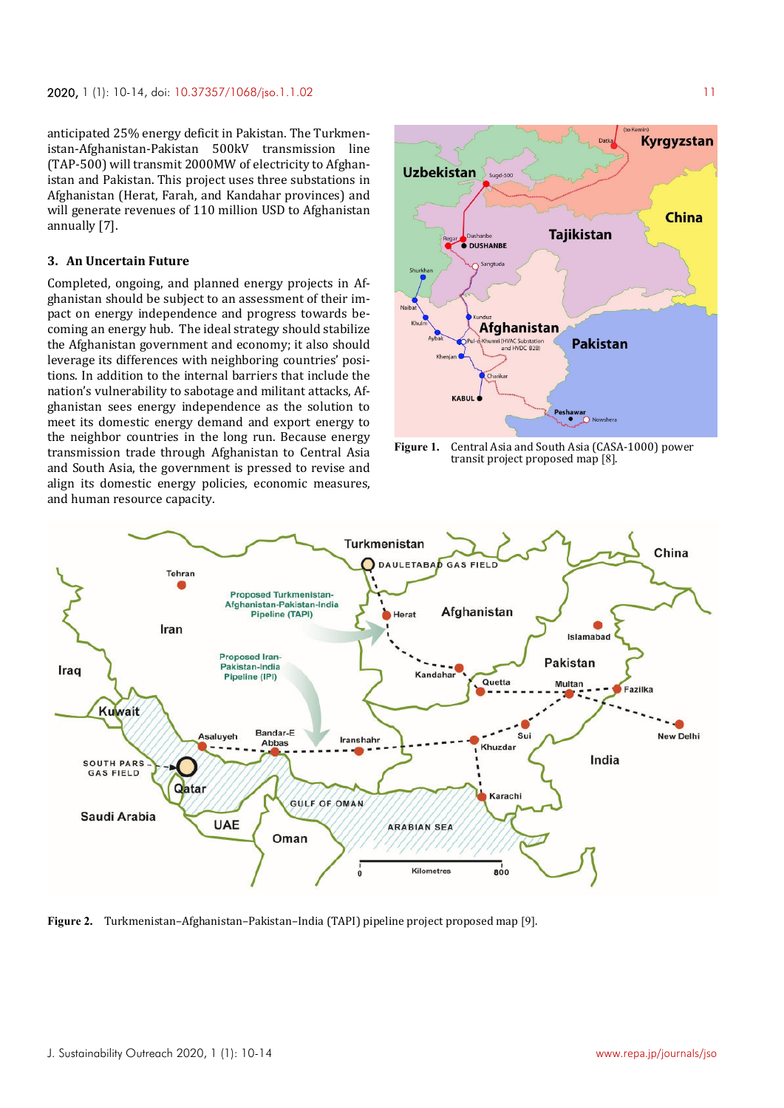anticipated 25% energy deficit in Pakistan. The Turkmenistan-Afghanistan-Pakistan 500kV transmission line (TAP-500) will transmit 2000MW of electricity to Afghanistan and Pakistan. This project uses three substations in Afghanistan (Herat, Farah, and Kandahar provinces) and will generate revenues of 110 million USD to Afghanistan annually [7].

### **3. An Uncertain Future**

Completed, ongoing, and planned energy projects in Afghanistan should be subject to an assessment of their impact on energy independence and progress towards becoming an energy hub. The ideal strategy should stabilize the Afghanistan government and economy; it also should leverage its differences with neighboring countries' positions. In addition to the internal barriers that include the nation's vulnerability to sabotage and militant attacks, Afghanistan sees energy independence as the solution to meet its domestic energy demand and export energy to the neighbor countries in the long run. Because energy transmission trade through Afghanistan to Central Asia and South Asia, the government is pressed to revise and align its domestic energy policies, economic measures, and human resource capacity.



**Figure 1.** Central Asia and South Asia (CASA-1000) power transit project proposed map [8].



**Figure 2.** Turkmenistan–Afghanistan–Pakistan–India (TAPI) pipeline project proposed map [9].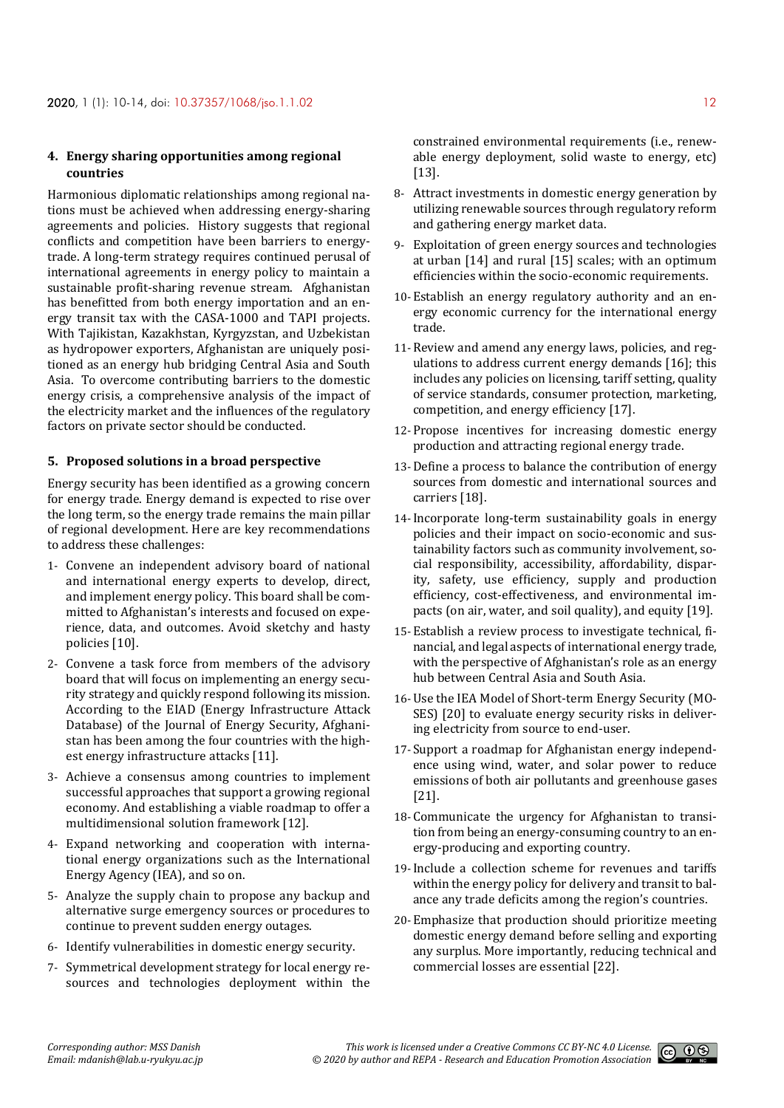## **4. Energy sharing opportunities among regional countries**

Harmonious diplomatic relationships among regional nations must be achieved when addressing energy-sharing agreements and policies. History suggests that regional conflicts and competition have been barriers to energytrade. A long-term strategy requires continued perusal of international agreements in energy policy to maintain a sustainable profit-sharing revenue stream. Afghanistan has benefitted from both energy importation and an energy transit tax with the CASA-1000 and TAPI projects. With Tajikistan, Kazakhstan, Kyrgyzstan, and Uzbekistan as hydropower exporters, Afghanistan are uniquely positioned as an energy hub bridging Central Asia and South Asia. To overcome contributing barriers to the domestic energy crisis, a comprehensive analysis of the impact of the electricity market and the influences of the regulatory factors on private sector should be conducted.

## **5. Proposed solutions in a broad perspective**

Energy security has been identified as a growing concern for energy trade. Energy demand is expected to rise over the long term, so the energy trade remains the main pillar of regional development. Here are key recommendations to address these challenges:

- 1- Convene an independent advisory board of national and international energy experts to develop, direct, and implement energy policy. This board shall be committed to Afghanistan's interests and focused on experience, data, and outcomes. Avoid sketchy and hasty policies [10].
- 2- Convene a task force from members of the advisory board that will focus on implementing an energy security strategy and quickly respond following its mission. According to the EIAD (Energy Infrastructure Attack Database) of the Journal of Energy Security, Afghanistan has been among the four countries with the highest energy infrastructure attacks [11].
- 3- Achieve a consensus among countries to implement successful approaches that support a growing regional economy. And establishing a viable roadmap to offer a multidimensional solution framework [12].
- 4- Expand networking and cooperation with international energy organizations such as the International Energy Agency (IEA), and so on.
- 5- Analyze the supply chain to propose any backup and alternative surge emergency sources or procedures to continue to prevent sudden energy outages.
- 6- Identify vulnerabilities in domestic energy security.
- 7- Symmetrical development strategy for local energy resources and technologies deployment within the

constrained environmental requirements (i.e., renewable energy deployment, solid waste to energy, etc) [13].

- 8- Attract investments in domestic energy generation by utilizing renewable sources through regulatory reform and gathering energy market data.
- 9- Exploitation of green energy sources and technologies at urban [14] and rural [15] scales; with an optimum efficiencies within the socio-economic requirements.
- 10-Establish an energy regulatory authority and an energy economic currency for the international energy trade.
- 11-Review and amend any energy laws, policies, and regulations to address current energy demands [16]; this includes any policies on licensing, tariff setting, quality of service standards, consumer protection, marketing, competition, and energy efficiency [17].
- 12-Propose incentives for increasing domestic energy production and attracting regional energy trade.
- 13-Define a process to balance the contribution of energy sources from domestic and international sources and carriers [18].
- 14-Incorporate long-term sustainability goals in energy policies and their impact on socio-economic and sustainability factors such as community involvement, social responsibility, accessibility, affordability, disparity, safety, use efficiency, supply and production efficiency, cost-effectiveness, and environmental impacts (on air, water, and soil quality), and equity [19].
- 15-Establish a review process to investigate technical, financial, and legal aspects of international energy trade, with the perspective of Afghanistan's role as an energy hub between Central Asia and South Asia.
- 16-Use the IEA Model of Short-term Energy Security (MO-SES) [20] to evaluate energy security risks in delivering electricity from source to end-user.
- 17- Support a roadmap for Afghanistan energy independence using wind, water, and solar power to reduce emissions of both air pollutants and greenhouse gases [21].
- 18-Communicate the urgency for Afghanistan to transition from being an energy-consuming country to an energy-producing and exporting country.
- 19-Include a collection scheme for revenues and tariffs within the energy policy for delivery and transit to balance any trade deficits among the region's countries.
- 20-Emphasize that production should prioritize meeting domestic energy demand before selling and exporting any surplus. More importantly, reducing technical and commercial losses are essential [22].

 $0$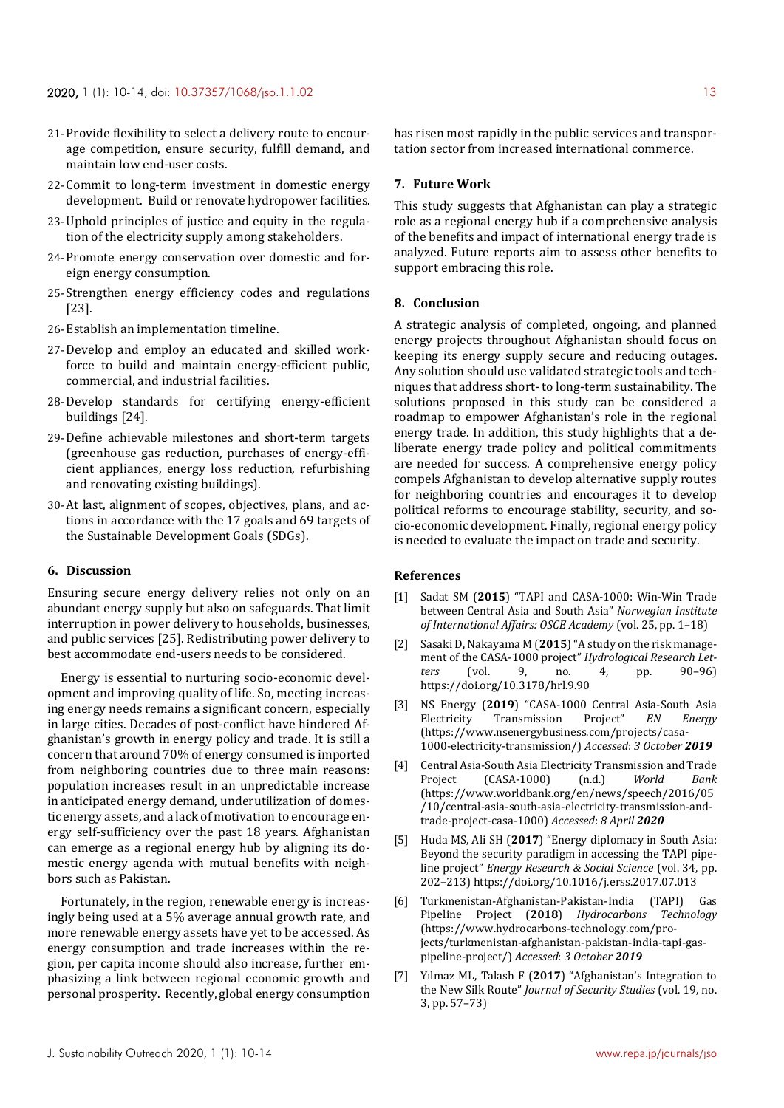- 21-Provide flexibility to select a delivery route to encourage competition, ensure security, fulfill demand, and maintain low end-user costs.
- 22-Commit to long-term investment in domestic energy development. Build or renovate hydropower facilities.
- 23-Uphold principles of justice and equity in the regulation of the electricity supply among stakeholders.
- 24-Promote energy conservation over domestic and foreign energy consumption.
- 25- Strengthen energy efficiency codes and regulations [23].
- 26-Establish an implementation timeline.
- 27-Develop and employ an educated and skilled workforce to build and maintain energy-efficient public, commercial, and industrial facilities.
- 28-Develop standards for certifying energy-efficient buildings [24].
- 29-Define achievable milestones and short-term targets (greenhouse gas reduction, purchases of energy-efficient appliances, energy loss reduction, refurbishing and renovating existing buildings).
- 30-At last, alignment of scopes, objectives, plans, and actions in accordance with the 17 goals and 69 targets of the Sustainable Development Goals (SDGs).

## **6. Discussion**

Ensuring secure energy delivery relies not only on an abundant energy supply but also on safeguards. That limit interruption in power delivery to households, businesses, and public services [25]. Redistributing power delivery to best accommodate end-users needs to be considered.

Energy is essential to nurturing socio-economic development and improving quality of life. So, meeting increasing energy needs remains a significant concern, especially in large cities. Decades of post-conflict have hindered Afghanistan's growth in energy policy and trade. It is still a concern that around 70% of energy consumed is imported from neighboring countries due to three main reasons: population increases result in an unpredictable increase in anticipated energy demand, underutilization of domestic energy assets, and a lack of motivation to encourage energy self-sufficiency over the past 18 years. Afghanistan can emerge as a regional energy hub by aligning its domestic energy agenda with mutual benefits with neighbors such as Pakistan.

Fortunately, in the region, renewable energy is increasingly being used at a 5% average annual growth rate, and more renewable energy assets have yet to be accessed. As energy consumption and trade increases within the region, per capita income should also increase, further emphasizing a link between regional economic growth and personal prosperity. Recently, global energy consumption

has risen most rapidly in the public services and transportation sector from increased international commerce.

## **7. Future Work**

This study suggests that Afghanistan can play a strategic role as a regional energy hub if a comprehensive analysis of the benefits and impact of international energy trade is analyzed. Future reports aim to assess other benefits to support embracing this role.

#### **8. Conclusion**

A strategic analysis of completed, ongoing, and planned energy projects throughout Afghanistan should focus on keeping its energy supply secure and reducing outages. Any solution should use validated strategic tools and techniques that address short- to long-term sustainability. The solutions proposed in this study can be considered a roadmap to empower Afghanistan's role in the regional energy trade. In addition, this study highlights that a deliberate energy trade policy and political commitments are needed for success. A comprehensive energy policy compels Afghanistan to develop alternative supply routes for neighboring countries and encourages it to develop political reforms to encourage stability, security, and socio-economic development. Finally, regional energy policy is needed to evaluate the impact on trade and security.

### **References**

- [1] Sadat SM (**2015**) "TAPI and CASA-1000: Win-Win Trade between Central Asia and South Asia" *Norwegian Institute of International Affairs: OSCE Academy* (vol. 25, pp. 1–18)
- [2] Sasaki D, Nakayama M (**2015**) "A study on the risk management of the CASA-1000 project" *Hydrological Research Letters* (vol. 9, no. 4, pp. 90–96) https://doi.org/10.3178/hrl.9.90
- [3] NS Energy (**2019**) "CASA-1000 Central Asia-South Asia Electricity Transmission Project" *EN* (https://www.nsenergybusiness.com/projects/casa-1000-electricity-transmission/) *Accessed*: *3 October 2019*
- [4] Central Asia-South Asia Electricity Transmission and Trade Project (CASA-1000) (n.d.) *World Bank* (https://www.worldbank.org/en/news/speech/2016/05 /10/central-asia-south-asia-electricity-transmission-andtrade-project-casa-1000) *Accessed*: *8 April 2020*
- [5] Huda MS, Ali SH (**2017**) "Energy diplomacy in South Asia: Beyond the security paradigm in accessing the TAPI pipeline project" *Energy Research & Social Science* (vol. 34, pp. 202–213) https://doi.org/10.1016/j.erss.2017.07.013
- [6] Turkmenistan-Afghanistan-Pakistan-India (TAPI) Gas Pipeline Project (**2018**) *Hydrocarbons Technology* (https://www.hydrocarbons-technology.com/projects/turkmenistan-afghanistan-pakistan-india-tapi-gaspipeline-project/) *Accessed*: *3 October 2019*
- [7] Yılmaz ML, Talash F (**2017**) "Afghanistan's Integration to the New Silk Route" *Journal of Security Studies* (vol. 19, no. 3, pp. 57–73)